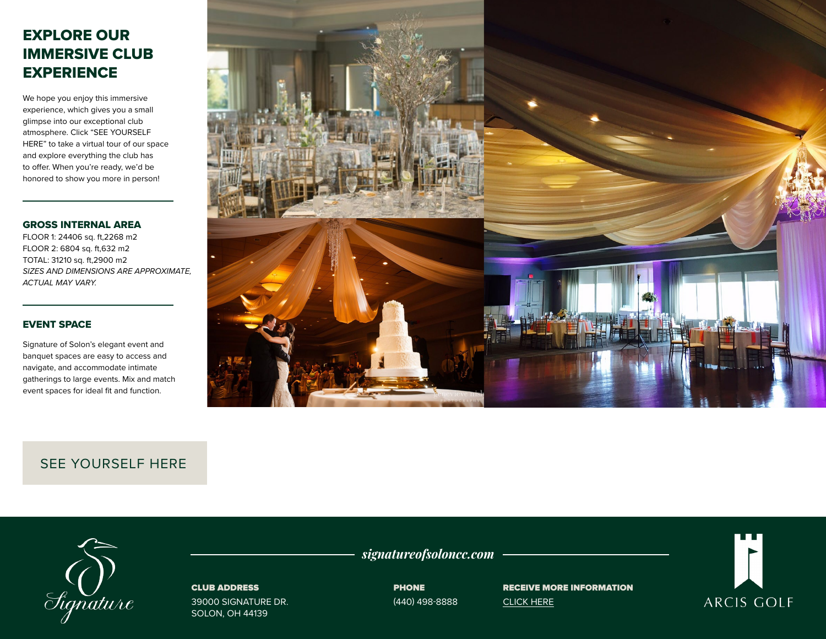# EXPLORE OUR IMMERSIVE CLUB **EXPERIENCE**

We hope you enjoy this immersive experience, which gives you a small glimpse into our exceptional club atmosphere. Click "SEE YOURSELF HERE" to take a virtual tour of our space and explore everything the club has to offer. When you're ready, we'd be honored to show you more in person!

#### GROSS INTERNAL AREA

FLOOR 1: 24406 sq. ft,2268 m2 FLOOR 2: 6804 sq. ft,632 m2 TOTAL: 31210 sq. ft,2900 m2 *SIZES AND DIMENSIONS ARE APPROXIMATE, ACTUAL MAY VARY.*

# EVENT SPACE

Signature of Solon's elegant event and banquet spaces are easy to access and navigate, and accommodate intimate gatherings to large events. Mix and match event spaces for ideal fit and function.



# [SEE YOURSELF HERE](https://visitingmedia.com/tt8/?ttid=signature-of-solon-country-club#/3d-model

)



### CLUB ADDRESS

39000 SIGNATURE DR. SOLON, OH 44139

*signatureofsoloncc.com*

**PHONE** (440) 498-8888 RECEIVE MORE INFORMATION [CLICK HERE](https://www.signatureofsoloncc.com/private-events-vm)

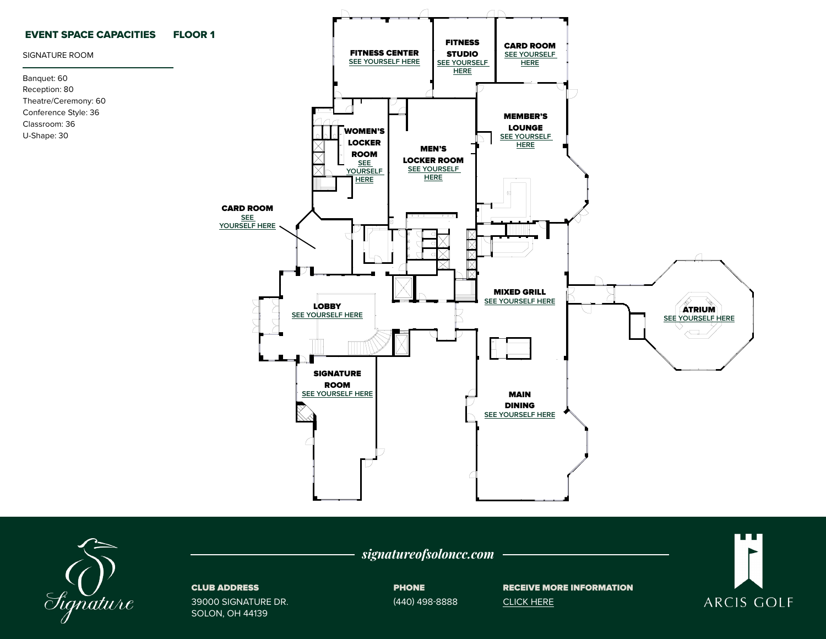



### CLUB ADDRESS

39000 SIGNATURE DR. SOLON, OH 44139

PHONE (440) 498-8888

*signatureofsoloncc.com*

RECEIVE MORE INFORMATION [CLICK HERE](https://www.signatureofsoloncc.com/private-events-vm)